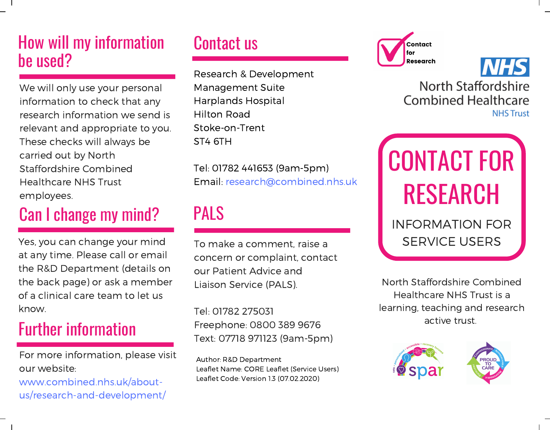## How will my information be used?

We will only use your personal information to check that any research information we send is relevant and appropriate to you. These checks will always be carried out by North Staffordshire Combined Healthcare NHS Trust employees.

## Can I change my mind?

Yes, you can change your mind at any time. Please call or email the R&D Department (details on the back page) or ask a member of a clinical care team to let us know.

## Further information

For more information, please visit our website:

www.combined.nhs.uk/aboutus/research-and-development/

## Contact us

Research & Development Management Suite Harplands Hospital Hilton Road Stoke-on-Trent ST4 6TH

Tel: 01782 441653 (9am-5pm) Email: research@combined.nhs.uk

## PALS

To make a comment, raise a concern or complaint, contact our Patient Advice and Liaison Service (PALS).

Tel: 01782 275031 Freephone: 0800 389 9676 Text: 07718 971123 (9am-5pm)

Author: R&D Department Leaflet Name: CORE Leaflet (Service Users) Leaflet Code: Version 1.3 (07.02.2020)





North Staffordshire **Combined Healthcare NHS Trust** 

# CONTACT FOR RESEARCH

#### INFORMATION FOR SERVICE USERS

North Staffordshire Combined Healthcare NHS Trust is a learning, teaching and research active trust.